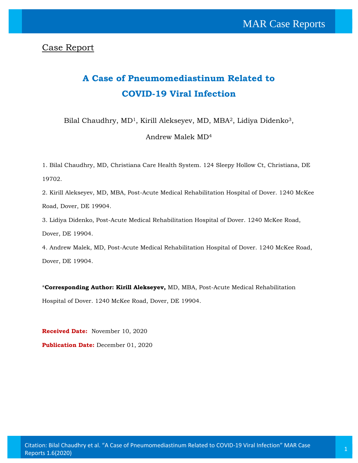Case Report

# **A Case of Pneumomediastinum Related to COVID-19 Viral Infection**

Bilal Chaudhry, MD<sup>1</sup>, Kirill Alekseyev, MD, MBA<sup>2</sup>, Lidiya Didenko<sup>3</sup>,

Andrew Malek MD<sup>4</sup>

1. Bilal Chaudhry, MD, Christiana Care Health System. 124 Sleepy Hollow Ct, Christiana, DE 19702.

2. Kirill Alekseyev, MD, MBA, Post-Acute Medical Rehabilitation Hospital of Dover. 1240 McKee Road, Dover, DE 19904.

3. Lidiya Didenko, Post-Acute Medical Rehabilitation Hospital of Dover. 1240 McKee Road, Dover, DE 19904.

4. Andrew Malek, MD, Post-Acute Medical Rehabilitation Hospital of Dover. 1240 McKee Road, Dover, DE 19904.

\***Corresponding Author: Kirill Alekseyev,** MD, MBA, Post-Acute Medical Rehabilitation Hospital of Dover. 1240 McKee Road, Dover, DE 19904.

**Received Date:** November 10, 2020 Publication Date: December 01, 2020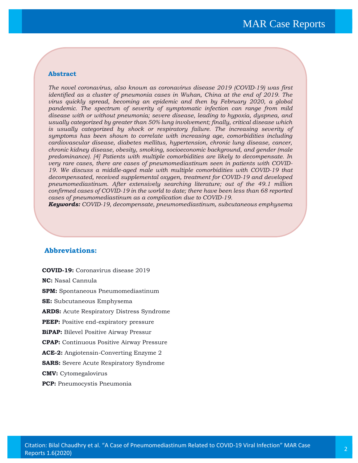#### **Abstract**

*The novel coronavirus, also known as coronavirus disease 2019 (COVID-19) was first identified as a cluster of pneumonia cases in Wuhan, China at the end of 2019. The virus quickly spread, becoming an epidemic and then by February 2020, a global pandemic. The spectrum of severity of symptomatic infection can range from mild disease with or without pneumonia; severe disease, leading to hypoxia, dyspnea, and usually categorized by greater than 50% lung involvement; finally, critical disease which*  is usually categorized by shock or respiratory failure. The increasing severity of *symptoms has been shown to correlate with increasing age, comorbidities including cardiovascular disease, diabetes mellitus, hypertension, chronic lung disease, cancer, chronic kidney disease, obesity, smoking, socioeconomic background, and gender (male predominance). [4] Patients with multiple comorbidities are likely to decompensate. In very rare cases, there are cases of pneumomediastinum seen in patients with COVID-19. We discuss a middle-aged male with multiple comorbidities with COVID-19 that decompensated, received supplemental oxygen, treatment for COVID-19 and developed pneumomediastinum. After extensively searching literature; out of the 49.1 million confirmed cases of COVID-19 in the world to date; there have been less than 68 reported cases of pneumomediastinum as a complication due to COVID-19.*

*Keywords: COVID-19, decompensate, pneumomediastinum, subcutaneous emphysema*

### **Abbreviations:**

**COVID-19:** Coronavirus disease 2019 **NC:** Nasal Cannula **SPM:** Spontaneous Pneumomediastinum **SE:** Subcutaneous Emphysema **ARDS:** Acute Respiratory Distress Syndrome **PEEP:** Positive end-expiratory pressure **BiPAP:** Bilevel Positive Airway Pressur **CPAP:** Continuous Positive Airway Pressure **ACE-2:** Angiotensin-Converting Enzyme 2 **SARS:** Severe Acute Respiratory Syndrome **CMV:** Cytomegalovirus

**PCP:** Pneumocystis Pneumonia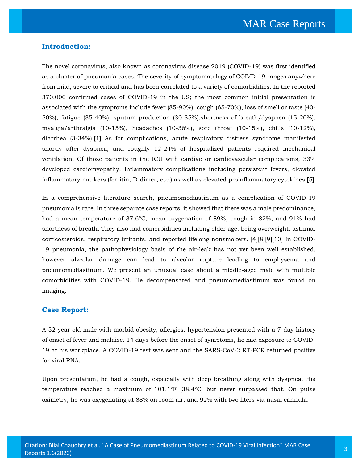#### **Introduction:**

The novel coronavirus, also known as coronavirus disease 2019 (COVID-19) was first identified as a cluster of pneumonia cases. The severity of symptomatology of COIVD-19 ranges anywhere from mild, severe to critical and has been correlated to a variety of comorbidities. In the reported 370,000 confirmed cases of COVID-19 in the US; the most common initial presentation is associated with the symptoms include fever (85-90%), cough (65-70%), loss of smell or taste (40- 50%), fatigue (35-40%), sputum production (30-35%),shortness of breath/dyspnea (15-20%), myalgia/arthralgia (10-15%), headaches (10-36%), sore throat (10-15%), chills (10-12%), diarrhea (3-34%).**[**1**]** As for complications, acute respiratory distress syndrome manifested shortly after dyspnea, and roughly 12-24% of hospitalized patients required mechanical ventilation. Of those patients in the ICU with cardiac or cardiovascular complications, 33% developed cardiomyopathy. Inflammatory complications including persistent fevers, elevated inflammatory markers (ferritin, D-dimer, etc.) as well as elevated proinflammatory cytokines.**[**5**]**

In a comprehensive literature search, pneumomediastinum as a complication of COVID-19 pneumonia is rare. In three separate case reports, it showed that there was a male predominance, had a mean temperature of 37.6°C, mean oxygenation of 89%, cough in 82%, and 91% had shortness of breath. They also had comorbidities including older age, being overweight, asthma, corticosteroids, respiratory irritants, and reported lifelong nonsmokers. [4][8][9][10] In COVID-19 pneumonia, the pathophysiology basis of the air-leak has not yet been well established, however alveolar damage can lead to alveolar rupture leading to emphysema and pneumomediastinum. We present an unusual case about a middle-aged male with multiple comorbidities with COVID-19. He decompensated and pneumomediastinum was found on imaging.

#### **Case Report:**

A 52-year-old male with morbid obesity, allergies, hypertension presented with a 7-day history of onset of fever and malaise. 14 days before the onset of symptoms, he had exposure to COVID-19 at his workplace. A COVID-19 test was sent and the SARS-CoV-2 RT-PCR returned positive for viral RNA.

Upon presentation, he had a cough, especially with deep breathing along with dyspnea. His temperature reached a maximum of 101.1°F (38.4°C) but never surpassed that. On pulse oximetry, he was oxygenating at 88% on room air, and 92% with two liters via nasal cannula.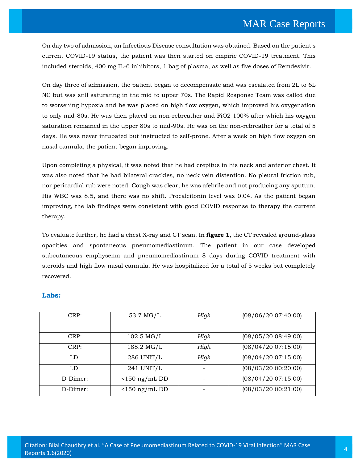On day two of admission, an Infectious Disease consultation was obtained. Based on the patient's current COVID-19 status, the patient was then started on empiric COVID-19 treatment. This included steroids, 400 mg IL-6 inhibitors, 1 bag of plasma, as well as five doses of Remdesivir.

On day three of admission, the patient began to decompensate and was escalated from 2L to 6L NC but was still saturating in the mid to upper 70s. The Rapid Response Team was called due to worsening hypoxia and he was placed on high flow oxygen, which improved his oxygenation to only mid-80s. He was then placed on non-rebreather and FiO2 100% after which his oxygen saturation remained in the upper 80s to mid-90s. He was on the non-rebreather for a total of 5 days. He was never intubated but instructed to self-prone. After a week on high flow oxygen on nasal cannula, the patient began improving.

Upon completing a physical, it was noted that he had crepitus in his neck and anterior chest. It was also noted that he had bilateral crackles, no neck vein distention. No pleural friction rub, nor pericardial rub were noted. Cough was clear, he was afebrile and not producing any sputum. His WBC was 8.5, and there was no shift. Procalcitonin level was 0.04. As the patient began improving, the lab findings were consistent with good COVID response to therapy the current therapy.

To evaluate further, he had a chest X-ray and CT scan. In **figure 1**, the CT revealed ground-glass opacities and spontaneous pneumomediastinum. The patient in our case developed subcutaneous emphysema and pneumomediastinum 8 days during COVID treatment with steroids and high flow nasal cannula. He was hospitalized for a total of 5 weeks but completely recovered.

## **Labs:**

| CRP:     | 53.7 MG/L               | High                     | (08/06/20 07:40:00) |
|----------|-------------------------|--------------------------|---------------------|
| CRP:     | $102.5 \,\mathrm{MG/L}$ | High                     | (08/05/20 08:49:00) |
| CRP:     | 188.2 MG/L              | High                     | (08/04/20 07:15:00) |
| LD:      | 286 UNIT/L              | High                     | (08/04/20 07:15:00) |
| LD:      | 241 UNIT/L              |                          | (08/03/20 00:20:00) |
| D-Dimer: | $\langle$ 150 ng/mL DD  | $\overline{\phantom{m}}$ | (08/04/20 07:15:00) |
| D-Dimer: | $\langle$ 150 ng/mL DD  |                          | (08/03/20 00:21:00) |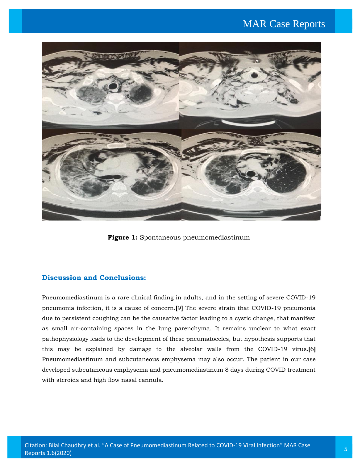# MAR Case Reports



**Figure 1:** Spontaneous pneumomediastinum

# **Discussion and Conclusions:**

Pneumomediastinum is a rare clinical finding in adults, and in the setting of severe COVID-19 pneumonia infection, it is a cause of concern.**[**9**]** The severe strain that COVID-19 pneumonia due to persistent coughing can be the causative factor leading to a cystic change, that manifest as small air-containing spaces in the lung parenchyma. It remains unclear to what exact pathophysiology leads to the development of these pneumatoceles, but hypothesis supports that this may be explained by damage to the alveolar walls from the COVID-19 virus.**[**6**]** Pneumomediastinum and subcutaneous emphysema may also occur. The patient in our case developed subcutaneous emphysema and pneumomediastinum 8 days during COVID treatment with steroids and high flow nasal cannula.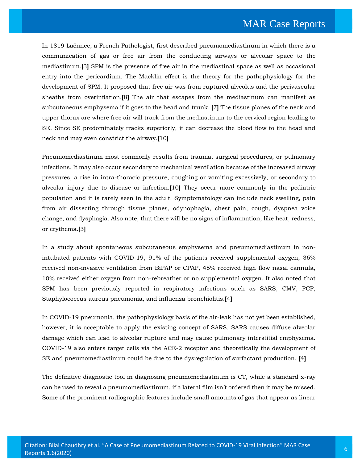In 1819 Laënnec, a French Pathologist, first described pneumomediastinum in which there is a communication of gas or free air from the conducting airways or alveolar space to the mediastinum.**[**3**]** SPM is the presence of free air in the mediastinal space as well as occasional entry into the pericardium. The Macklin effect is the theory for the pathophysiology for the development of SPM. It proposed that free air was from ruptured alveolus and the perivascular sheaths from overinflation.**[**8**]** The air that escapes from the mediastinum can manifest as subcutaneous emphysema if it goes to the head and trunk. **[**7**]** The tissue planes of the neck and upper thorax are where free air will track from the mediastinum to the cervical region leading to SE. Since SE predominately tracks superiorly, it can decrease the blood flow to the head and neck and may even constrict the airway.**[**10**]**

Pneumomediastinum most commonly results from trauma, surgical procedures, or pulmonary infections. It may also occur secondary to mechanical ventilation because of the increased airway pressures, a rise in intra-thoracic pressure, coughing or vomiting excessively, or secondary to alveolar injury due to disease or infection.**[**10**]** They occur more commonly in the pediatric population and it is rarely seen in the adult. Symptomatology can include neck swelling, pain from air dissecting through tissue planes, odynophagia, chest pain, cough, dyspnea voice change, and dysphagia. Also note, that there will be no signs of inflammation, like heat, redness, or erythema.**[**3**]**

In a study about spontaneous subcutaneous emphysema and pneumomediastinum in nonintubated patients with COVID-19, 91% of the patients received supplemental oxygen, 36% received non-invasive ventilation from BiPAP or CPAP, 45% received high flow nasal cannula, 10% received either oxygen from non-rebreather or no supplemental oxygen. It also noted that SPM has been previously reported in respiratory infections such as SARS, CMV, PCP, Staphylococcus aureus pneumonia, and influenza bronchiolitis.**[**4**]**

In COVID-19 pneumonia, the pathophysiology basis of the air-leak has not yet been established, however, it is acceptable to apply the existing concept of SARS. SARS causes diffuse alveolar damage which can lead to alveolar rupture and may cause pulmonary interstitial emphysema. COVID-19 also enters target cells via the ACE-2 receptor and theoretically the development of SE and pneumomediastinum could be due to the dysregulation of surfactant production. **[**4**]**

The definitive diagnostic tool in diagnosing pneumomediastinum is CT, while a standard x-ray can be used to reveal a pneumomediastinum, if a lateral film isn't ordered then it may be missed. Some of the prominent radiographic features include small amounts of gas that appear as linear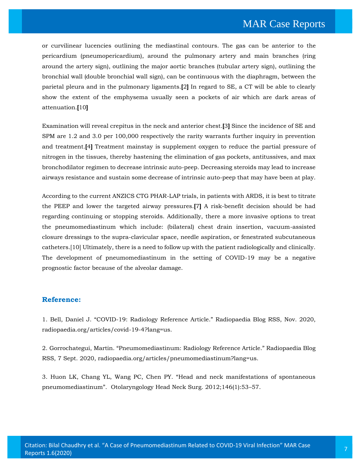or curvilinear lucencies outlining the mediastinal contours. The gas can be anterior to the pericardium (pneumopericardium), around the pulmonary artery and main branches (ring around the artery sign), outlining the major aortic branches (tubular artery sign), outlining the bronchial wall (double bronchial wall sign), can be continuous with the diaphragm, between the parietal pleura and in the pulmonary ligaments.**[**2**]** In regard to SE, a CT will be able to clearly show the extent of the emphysema usually seen a pockets of air which are dark areas of attenuation.**[**10**]**

Examination will reveal crepitus in the neck and anterior chest.**[**3**]** Since the incidence of SE and SPM are 1.2 and 3.0 per 100,000 respectively the rarity warrants further inquiry in prevention and treatment.**[**4**]** Treatment mainstay is supplement oxygen to reduce the partial pressure of nitrogen in the tissues, thereby hastening the elimination of gas pockets, antitussives, and max bronchodilator regimen to decrease intrinsic auto-peep. Decreasing steroids may lead to increase airways resistance and sustain some decrease of intrinsic auto-peep that may have been at play.

According to the current ANZICS CTG PHAR-LAP trials, in patients with ARDS, it is best to titrate the PEEP and lower the targeted airway pressures.**[**7**]** A risk-benefit decision should be had regarding continuing or stopping steroids. Additionally, there a more invasive options to treat the pneumomediastinum which include: (bilateral) chest drain insertion, vacuum-assisted closure dressings to the supra-clavicular space, needle aspiration, or fenestrated subcutaneous catheters.[10] Ultimately, there is a need to follow up with the patient radiologically and clinically. The development of pneumomediastinum in the setting of COVID-19 may be a negative prognostic factor because of the alveolar damage.

#### **Reference:**

1. Bell, Daniel J. "COVID-19: Radiology Reference [Article." Radiopaedia Blog RSS, Nov. 2020,](https://www.google.com/search?q=%E2%80%9CCOVID-19%3A+Radiology+Reference+Article.%E2%80%9D&oq=%E2%80%9CCOVID-19%3A+Radiology+Reference+Article.%E2%80%9D&aqs=chrome..69i57.947j0j15&sourceid=chrome&ie=UTF-8)  [radiopaedia.org/articles/covid-19-4?lang=us.](https://www.google.com/search?q=%E2%80%9CCOVID-19%3A+Radiology+Reference+Article.%E2%80%9D&oq=%E2%80%9CCOVID-19%3A+Radiology+Reference+Article.%E2%80%9D&aqs=chrome..69i57.947j0j15&sourceid=chrome&ie=UTF-8)

2. [Gorrochategui, Martin. "Pneumomediastinum: Radiology Reference Article." Radiopaedia Blog](https://www.google.com/search?sxsrf=ALeKk01TZGOYrX12cjKIiJjSSQmgOCuQjw%3A1605608006119&ei=RqKzX_XuBsHaz7sP3ueqoAM&q=.+%E2%80%9CPneumomediastinum%3A+Radiology+Reference+Article.%E2%80%9D+&oq=.+%E2%80%9CPneumomediastinum%3A+Radiology+Reference+Article.%E2%80%9D+&gs_lcp=CgZwc3ktYWIQAzIFCCEQoAEyBQghEKABMgUIIRCgAToHCCMQrgIQJ1DPhQFYz4UBYKSMAWgAcAB4AIAB6gKIAYsHkgEHMC4zLjAuMZgBAKABAqABAaoBB2d3cy13aXrAAQE&sclient=psy-ab&ved=0ahUKEwj1qen2q4ntAhVB7XMBHd6zCjQQ4dUDCA0&uact=5)  [RSS, 7 Sept. 2020, radiopaedia.org/articles/pneumomediastinum?lang=us.](https://www.google.com/search?sxsrf=ALeKk01TZGOYrX12cjKIiJjSSQmgOCuQjw%3A1605608006119&ei=RqKzX_XuBsHaz7sP3ueqoAM&q=.+%E2%80%9CPneumomediastinum%3A+Radiology+Reference+Article.%E2%80%9D+&oq=.+%E2%80%9CPneumomediastinum%3A+Radiology+Reference+Article.%E2%80%9D+&gs_lcp=CgZwc3ktYWIQAzIFCCEQoAEyBQghEKABMgUIIRCgAToHCCMQrgIQJ1DPhQFYz4UBYKSMAWgAcAB4AIAB6gKIAYsHkgEHMC4zLjAuMZgBAKABAqABAaoBB2d3cy13aXrAAQE&sclient=psy-ab&ved=0ahUKEwj1qen2q4ntAhVB7XMBHd6zCjQQ4dUDCA0&uact=5)

3. [Huon LK, Chang YL, Wang PC, Chen PY. "Head and neck manifestations of spontaneous](https://www.google.com/search?sxsrf=ALeKk02eIi3SN1ajAv9bKPQEbJpZkw2Slw%3A1605608027042&ei=W6KzX6CRAqL7z7sPvuaukAo&q=%E2%80%9CHead+and+neck+manifestations+of+spontaneous+pneumomediastinum%E2%80%9D&oq=%E2%80%9CHead+and+neck+manifestations+of+spontaneous+pneumomediastinum%E2%80%9D&gs_lcp=CgZwc3ktYWIQAzoHCCMQrgIQJ1DHfFjHfGDbhAFoAHAAeACAAZIDiAHjBpIBBzAuMy40LTGYAQCgAQKgAQGqAQdnd3Mtd2l6wAEB&sclient=psy-ab&ved=0ahUKEwjgquaArIntAhWi_XMBHT6zC6IQ4dUDCA0&uact=5)  [pneumomediastinum". Otolaryngology Head Neck Surg. 2012;146\(1\):53–](https://www.google.com/search?sxsrf=ALeKk02eIi3SN1ajAv9bKPQEbJpZkw2Slw%3A1605608027042&ei=W6KzX6CRAqL7z7sPvuaukAo&q=%E2%80%9CHead+and+neck+manifestations+of+spontaneous+pneumomediastinum%E2%80%9D&oq=%E2%80%9CHead+and+neck+manifestations+of+spontaneous+pneumomediastinum%E2%80%9D&gs_lcp=CgZwc3ktYWIQAzoHCCMQrgIQJ1DHfFjHfGDbhAFoAHAAeACAAZIDiAHjBpIBBzAuMy40LTGYAQCgAQKgAQGqAQdnd3Mtd2l6wAEB&sclient=psy-ab&ved=0ahUKEwjgquaArIntAhWi_XMBHT6zC6IQ4dUDCA0&uact=5)57.